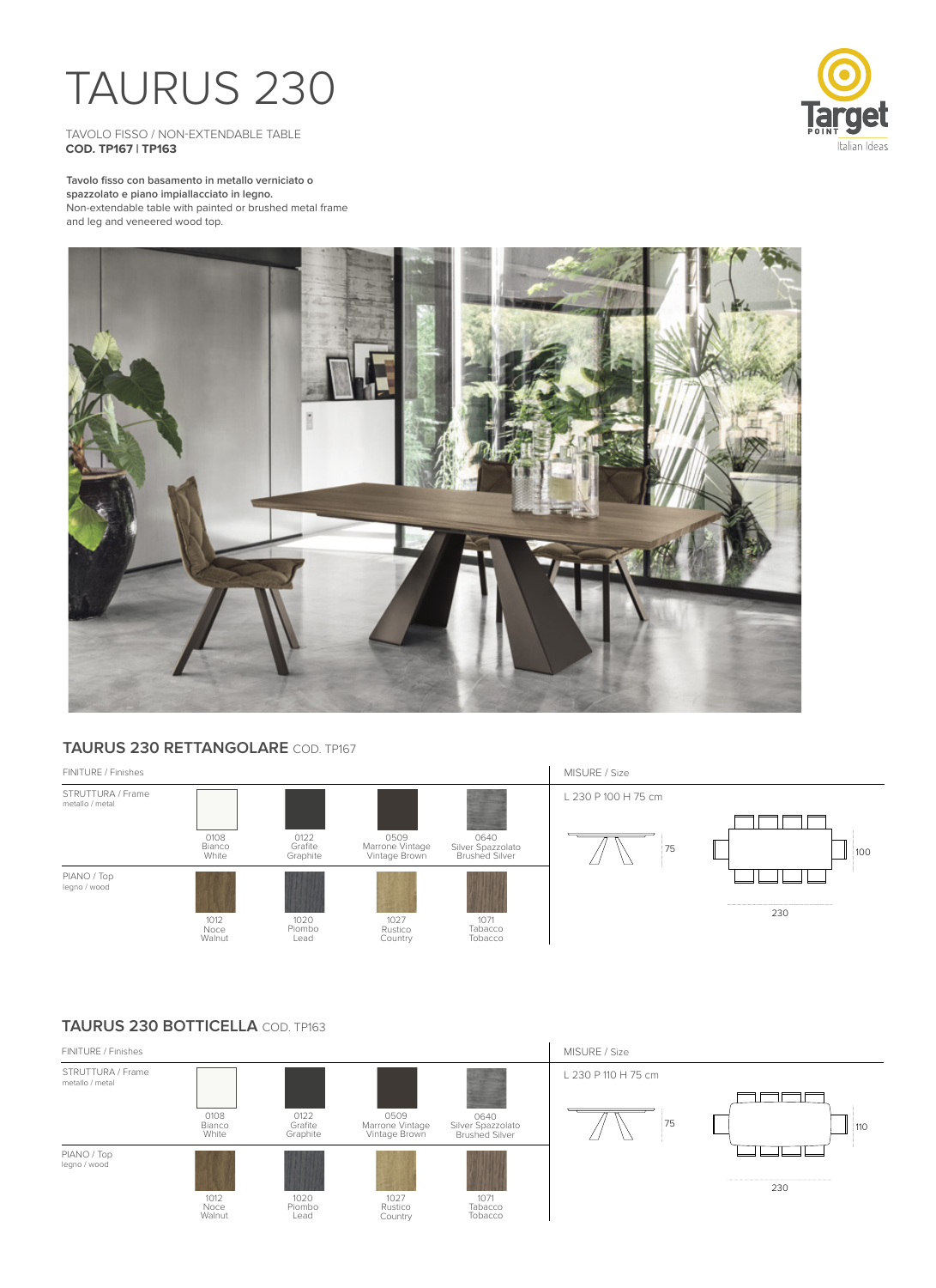## TAURUS 230

TAVOLO FISSO / NON-EXTENDABLE TABLE **COD. TP167 | TP163**



**Tavolo fisso con basamento in metallo verniciato o spazzolato e piano impiallacciato in legno.** Non-extendable table with painted or brushed metal frame and leg and veneered wood top.



## **TAURUS 230 RETTANGOLARE** COD. TP167



## **TAURUS 230 BOTTICELLA** COD. TP163